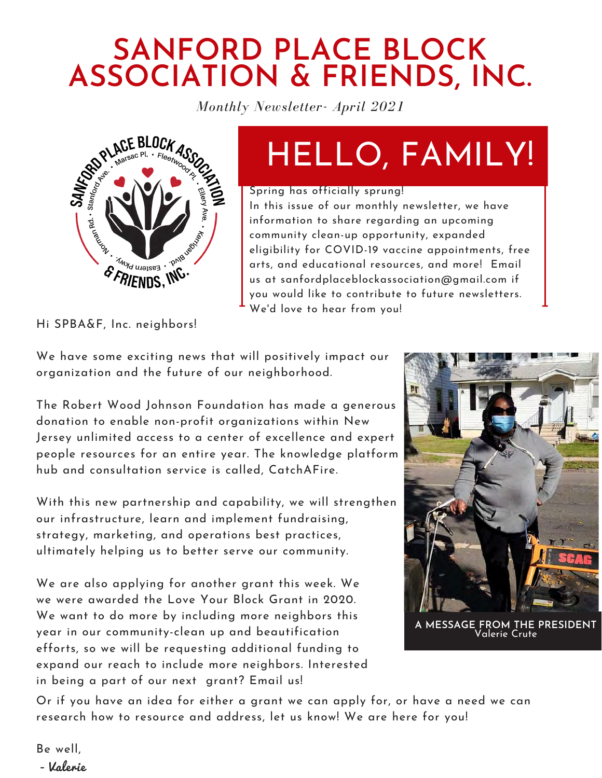## **SANFORD PLACE BLOCK ASSOCIATION & FRIENDS, INC.**

*Monthly Newsletter- April 2021*



# HELLO, FAMILY!

#### Spring has officially sprung!

In this issue of our monthly newsletter, we have information to share regarding an upcoming community clean-up opportunity, expanded eligibility for COVID-19 vaccine appointments, free arts, and educational resources, and more! Email us at [sanfordplaceblockassociation@gmail.com](http://gmail.com/) if you would like to contribute to future newsletters. We'd love to hear from you!

Hi SPBA&F, Inc. neighbors!

We have some exciting news that will positively impact our organization and the future of our neighborhood.

The Robert Wood Johnson Foundation has made a generous donation to enable non-profit organizations within New Jersey unlimited access to a center of excellence and expert people resources for an entire year. The knowledge platform hub and consultation service is called, CatchAFire.

With this new partnership and capability, we will strengthen our infrastructure, learn and implement fundraising, strategy, marketing, and operations best practices, ultimately helping us to better serve our community.

We are also applying for another grant this week. We we were awarded the Love Your Block Grant in 2020. We want to do more by including more neighbors this year in our community-clean up and beautification efforts, so we will be requesting additional funding to expand our reach to include more neighbors. Interested in being a part of our next grant? Email us!



**A MESSAGE FROM THE PRESIDENT** Valerie Crute

Or if you have an idea for either a grant we can apply for, or have a need we can research how to resource and address, let us know! We are here for you!

Be well, - Valerie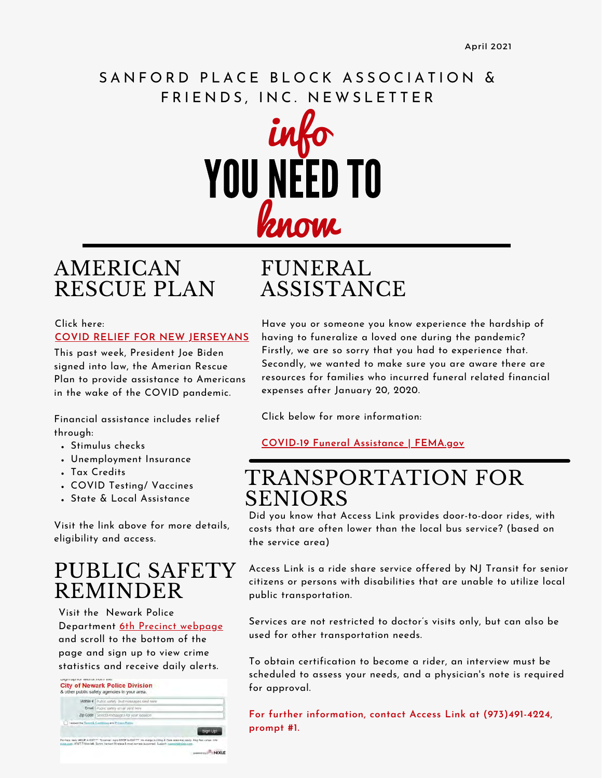### SANFORD PLACE BLOCK ASSOCIATION & FRIENDS, INC. NEWSLETTER



### AMERICAN RESCUE PLAN

#### Click here: **[COVID RELIEF FOR NEW JERSEYANS](https://www.booker.senate.gov/coronavirus)**

This past week, President Joe Biden signed into law, the Amerian Rescue Plan to provide assistance to Americans in the wake of the COVID pandemic.

Financial assistance includes relief through:

- Stimulus checks
- Unemployment Insurance
- Tax Credits
- COVID Testing/ Vaccines
- State & Local Assistance

Visit the link above for more details, eligibility and access.

### PUBLIC SAFETY REMINDER

Visit the Newark Police Department [6th Precinct webpage](https://npd.newarkpublicsafety.org/precincts/sixth) and scroll to the bottom of the page and sign up to view crime statistics and receive daily alerts.

| Mobile # Public safety Text messages sent never                                                                                |  |  |  |
|--------------------------------------------------------------------------------------------------------------------------------|--|--|--|
| Email   Public safety email sent here                                                                                          |  |  |  |
| Zip Code   Selects messages for your location                                                                                  |  |  |  |
| I accept the Terms & Contitions and Private Putter.                                                                            |  |  |  |
|                                                                                                                                |  |  |  |
| Par hala, lasty HELP II: EEFTT. To sansal, reply STOP In EEETT. He sharps but Map A Data resa may apply. Map free varies, this |  |  |  |

## FUNERAL ASSISTANCE

Have you or someone you know experience the hardship of having to funeralize a loved one during the pandemic? Firstly, we are so sorry that you had to experience that. Secondly, we wanted to make sure you are aware there are resources for families who incurred funeral related financial expenses after January 20, 2020.

Click below for more information:

**[COVID-19 Funeral Assistance | FEMA.gov](https://www.fema.gov/disasters/coronavirus/economic/funeral-assistance)**

### TRANSPORTATION FOR SENIORS

Did you know that Access Link provides door-to-door rides, with costs that are often lower than the local bus service? (based on the service area)

Access Link is a ride share service offered by NJ Transit for senior citizens or persons with disabilities that are unable to utilize local public transportation.

Services are not restricted to doctor's visits only, but can also be used for other transportation needs.

To obtain certification to become a rider, an interview must be scheduled to assess your needs, and a physician's note is required for approval.

**For further information, contact Access Link at (973)491-4224, prompt #1.**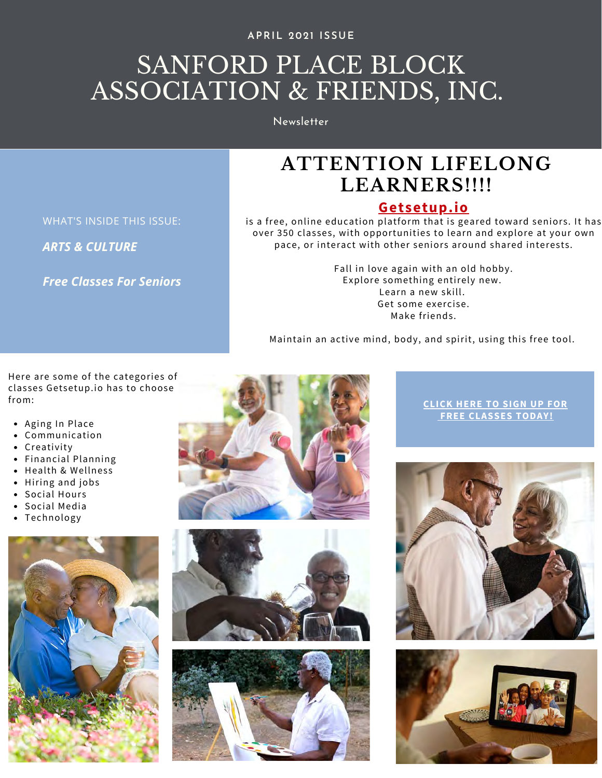#### **APRIL 2021 ISSUE**

## SANFORD PLACE BLOCK ASSOCIATION & FRIENDS, INC.

Newsletter

### **ATTENTION LIFELONG LEARNERS!!!!**

#### **[Getsetup.io](https://www.getsetup.io/classes)**

is a free, online education platform that is geared toward seniors. It has over 350 classes, with opportunities to learn and explore at your own pace, or interact with other seniors around shared interests.

> Fall in love again with an old hobby. Explore something entirely new. Learn a new skill. Get some exercise. Make friends.

Maintain an active mind, body, and spirit, using this free tool.

Here are some of the categories of classes Getsetup.io has to choose

- Aging In Place
- Communication
- Creativity
- Financial Planning
- Health & Wellness
- Hiring and jobs
- Social Hours
- Social Media
- Technology









**[FREE CLASSES TODAY!](https://www.getsetup.io/)**





WHAT'S INSIDE THIS ISSUE: *ARTS & CULTURE*

*Free Classes For Seniors*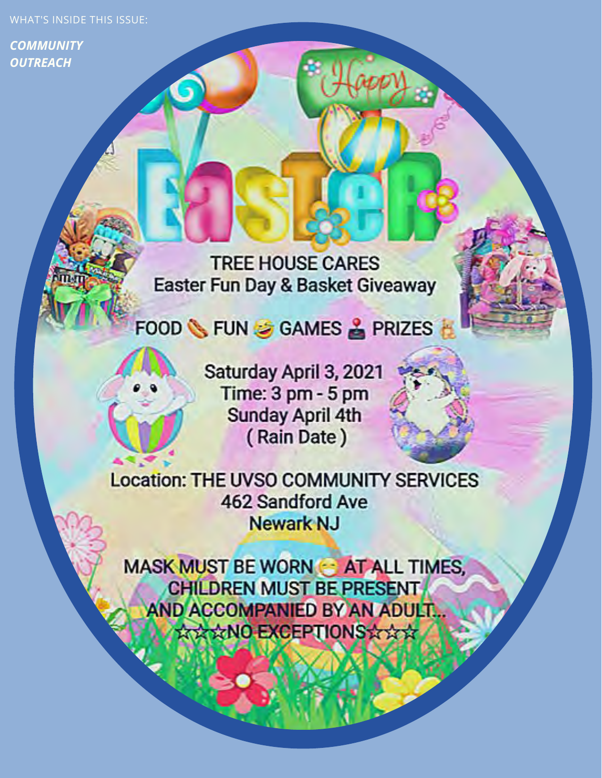WHAT'S INSIDE THIS ISSUE:

*COMMUNITY OUTREACH*

> **TREE HOUSE CARES Easter Fun Day & Basket Giveaway**

FOOD SHUNG GAMES & PRIZES

Saturday April 3, 2021 Time: 3 pm - 5 pm **Sunday April 4th** (Rain Date)

**Location: THE UVSO COMMUNITY SERVICES 462 Sandford Ave Newark NJ** 

**MASK MUST BE WORN & AT ALL TIMES, CHILDREN MUST BE PRESENT** AND ACCOMPANIED BY AN ADULT... **XXXNO EXCEPTIONSXXX**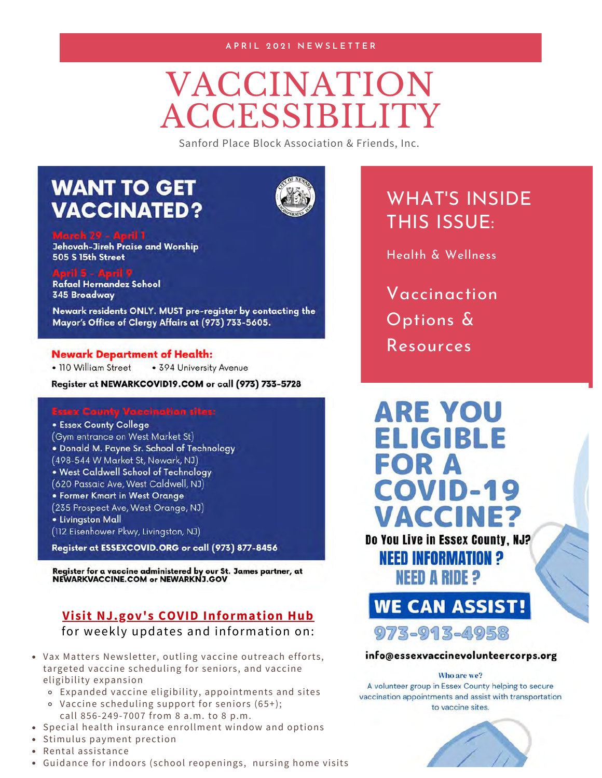#### **A P R I L 2 0 2 1 N E W S L E T T E R**

# VACCINATION **ACCESSIBILITY**

Sanford Place Block Association & Friends, Inc.

### **WANT TO GET VACCINATED?**



**Jehovah-Jireh Praise and Worship 505 S 15th Street** 

Rafael Hernandez School **345 Broadway** 

Newark residents ONLY. MUST pre-register by contacting the Mayor's Office of Clergy Affairs at (973) 733-5605.

#### **Newark Department of Health:**

· 110 William Street • 394 University Avenue

Register at NEWARKCOVID19.COM or call (973) 733-5728

**• Essex County College** (Gym entrance on West Market St) . Donald M. Payne Sr. School of Technology (498-544 W Market St, Newark, NJ) . West Caldwell School of Technology (620 Passaic Ave, West Caldwell, NJ) • Former Kmart in West Orange (235 Prospect Ave, West Orange, NJ) · Livingston Mall (112 Eisenhower Pkwy, Livingston, NJ)

Register at ESSEXCOVID.ORG or call (973) 877-8456

Register for a vaccine administered by our St. James partner, at<br>NEWARKVACCINE.COM or NEWARKNJ.GOV

#### **[Visit NJ.gov's COVID Information Hub](https://covid19.nj.gov/?utm_campaign=20210326_nwsltr&utm_medium=email&utm_source=govdelivery)**

for weekly updates and information on:

- Vax Matters Newsletter, outling vaccine outreach efforts, targeted vaccine scheduling for seniors, and vaccine eligibility expansion
	- Expanded vaccine eligibility, appointments and sites
	- Vaccine scheduling support for seniors (65+); call 856-249-7007 from 8 a.m. to 8 p.m.
- Special health insurance enrollment window and options
- Stimulus payment prection
- Rental assistance
- Guidance for indoors (school reopenings, nursing home visits

### WHAT'S INSIDE THIS ISSUE:

Health & Wellness

Vaccinaction Options & Resources



**WE CAN ASSIST!** 973-913-4958

#### info@essexvaccinevolunteercorps.org

#### Who are we?

A volunteer group in Essex County helping to secure vaccination appointments and assist with transportation to vaccine sites.

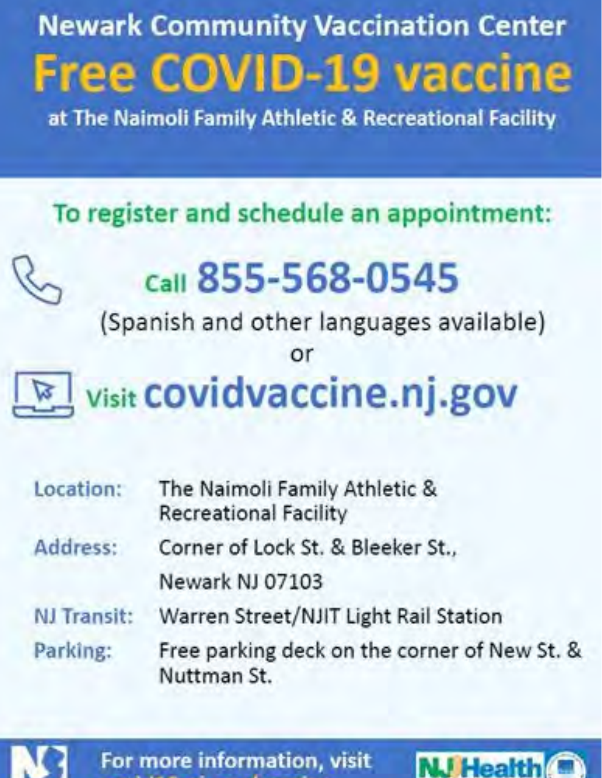# **Newark Community Vaccination Center Free COVID-19 vaccine**

at The Naimoli Family Athletic & Recreational Facility

# To register and schedule an appointment:

# Call 855-568-0545

(Spanish and other languages available)

or

# **visit COVidvaccine.nj.gov**

| Location:   | The Naimoli Family Athletic &<br><b>Recreational Facility</b>         |  |  |  |
|-------------|-----------------------------------------------------------------------|--|--|--|
| Address:    | Corner of Lock St. & Bleeker St.,                                     |  |  |  |
|             | Newark NJ 07103                                                       |  |  |  |
| NJ Transit: | Warren Street/NJIT Light Rail Station                                 |  |  |  |
| Parking:    | Free parking deck on the corner of New St. &<br>Nuttman <sub>St</sub> |  |  |  |



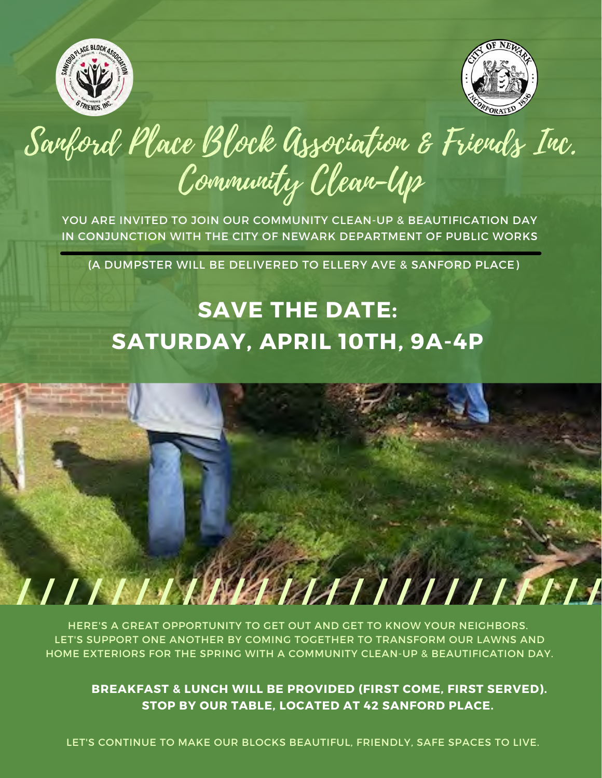



# Sanford Place Block Association & Friends Inc. Community Clean-Up

YOU ARE INVITED TO JOIN OUR COMMUNITY CLEAN-UP & BEAUTIFICATION DAY IN CONJUNCTION WITH THE CITY OF NEWARK DEPARTMENT OF PUBLIC WORKS

(A DUMPSTER WILL BE DELIVERED TO ELLERY AVE & SANFORD PLACE)

## **SAVE THE DATE: SATURDAY, APRIL 10TH, 9A-4P**



HERE'S A GREAT OPPORTUNITY TO GET OUT AND GET TO KNOW YOUR NEIGHBORS. LET'S SUPPORT ONE ANOTHER BY COMING TOGETHER TO TRANSFORM OUR LAWNS AND HOME EXTERIORS FOR THE SPRING WITH A COMMUNITY CLEAN-UP & BEAUTIFICATION DAY.

**BREAKFAST & LUNCH WILL BE PROVIDED (FIRST COME, FIRST SERVED). STOP BY OUR TABLE, LOCATED AT 42 SANFORD PLACE.**

LET'S CONTINUE TO MAKE OUR BLOCKS BEAUTIFUL, FRIENDLY, SAFE SPACES TO LIVE.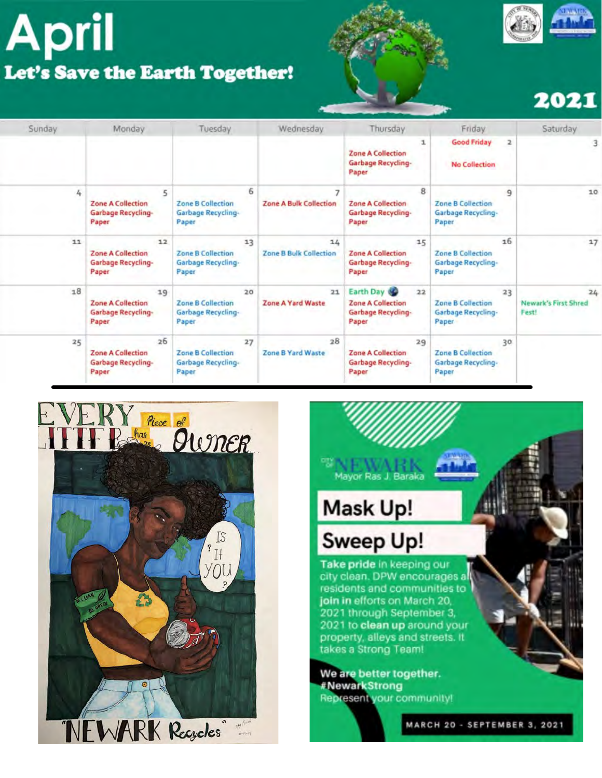# **April** Let's Save the Earth Together!





## 2021

| Sunday | Monday                                                               | Tuesday                                                       | Wednesday                                            | Thursday                                                                          | Friday                                                              | Saturday                            |
|--------|----------------------------------------------------------------------|---------------------------------------------------------------|------------------------------------------------------|-----------------------------------------------------------------------------------|---------------------------------------------------------------------|-------------------------------------|
|        |                                                                      |                                                               |                                                      | ı<br><b>Zone A Collection</b><br>Garbage Recycling-<br>Paper                      | <b>Good Friday</b><br>$\overline{a}$<br><b>No Collection</b>        | 3                                   |
| 4      | 5<br><b>Zone A Collection</b><br>Garbage Recycling-<br>Paper         | <b>Zone B Collection</b><br>Garbage Recycling-<br>Paper       | 6<br>$\overline{ }$<br><b>Zone A Bulk Collection</b> | 8<br><b>Zone A Collection</b><br>Garbage Recycling-<br>Paper                      | 9<br><b>Zone B Collection</b><br><b>Garbage Recycling-</b><br>Paper | 10                                  |
| 11     | 12<br><b>Zone A Collection</b><br><b>Garbage Recycling-</b><br>Paper | 13<br><b>Zone B Collection</b><br>Garbage Recycling-<br>Paper | 14<br><b>Zone B Bulk Collection</b>                  | 15<br><b>Zone A Collection</b><br>Garbage Recycling-<br>Paper                     | 16<br>Zone B Collection<br>Garbage Recycling-<br>Paper              | 17                                  |
| 18     | 19<br><b>Zone A Collection</b><br>Garbage Recycling-<br>Paper        | 20<br><b>Zone B Collection</b><br>Garbage Recycling-<br>Paper | 21<br>Zone A Yard Waste                              | Earth Day<br>22<br><b>Zone A Collection</b><br><b>Garbage Recycling-</b><br>Paper | 23<br>Zone B Collection<br>Garbage Recycling-<br>Paper              | 24<br>Newark's First Shred<br>Fest! |
| 25     | 26<br><b>Zone A Collection</b><br>Garbage Recycling-<br>Paper        | 27<br><b>Zone B Collection</b><br>Garbage Recycling-<br>Paper | 28<br>Zone B Yard Waste                              | 29<br><b>Zone A Collection</b><br>Garbage Recycling-<br>Paper                     | 30<br><b>Zone B Collection</b><br>Garbage Recycling-<br>Paper       |                                     |





MARCH 20 - SEPTEMBER 3, 2021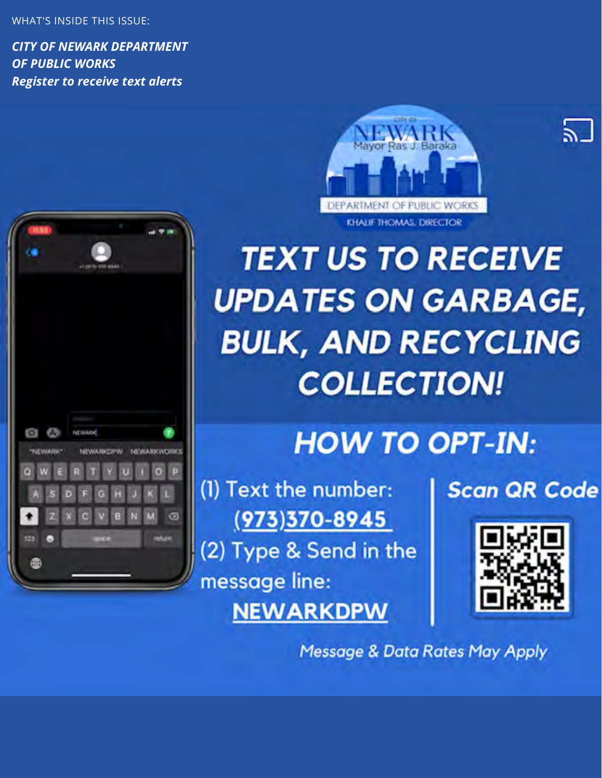WHAT'S INSIDE THIS ISSUE:

fО

123

"NEWARK"

**NEWARKOPW NEWARKWORKS** 

G

*CITY OF NEWARK DEPARTMENT OF PUBLIC WORKS Register to receive text alerts*





## **HOW TO OPT-IN:**

(1) Text the number:  $(973)370 - 8945$ (2) Type & Send in the message line: **NEWARKDPW** 

## **Scan QR Code**

51



**Message & Data Rates May Apply**